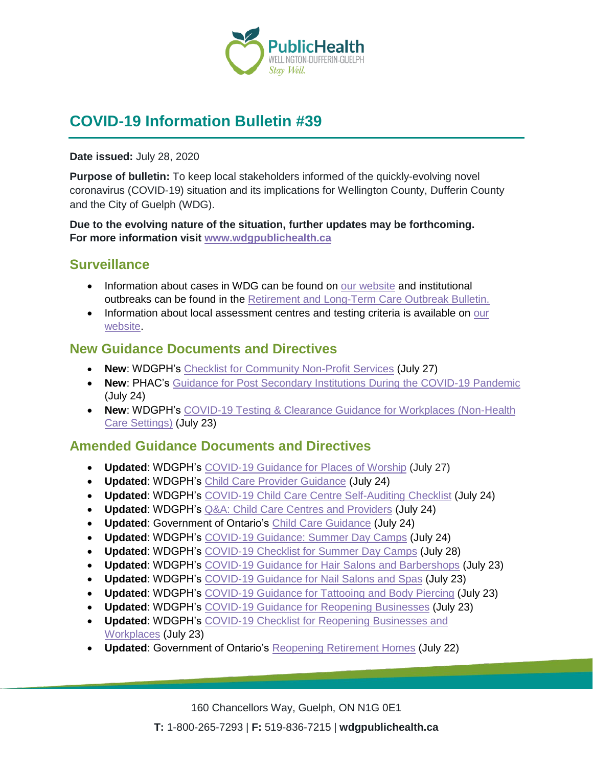

# **COVID-19 Information Bulletin #39**

#### **Date issued:** July 28, 2020

**Purpose of bulletin:** To keep local stakeholders informed of the quickly-evolving novel coronavirus (COVID-19) situation and its implications for Wellington County, Dufferin County and the City of Guelph (WDG).

**Due to the evolving nature of the situation, further updates may be forthcoming. For more information visit [www.wdgpublichealth.ca](http://www.wdgpublichealth.ca/)**

### **Surveillance**

- Information about cases in WDG can be found on [our website](https://wdgpublichealth.ca/your-health/covid-19-information-public/status-cases-wdg) and institutional outbreaks can be found in the [Retirement and Long-Term Care Outbreak Bulletin.](https://wdgpublichealth.ca/node/1542)
- Information about local assessment centres and testing criteria is available on our [website.](https://www.wdgpublichealth.ca/your-health/covid-19-information-public/assessment-centres-wdg)

### **New Guidance Documents and Directives**

- **New**: WDGPH's [Checklist for Community Non-Profit Services](https://www.wdgpublichealth.ca/sites/default/files/wdgph_covid-19_guidance_checklist_for_community_non-profit_services_july_27_2020.pdf) (July 27)
- **New**: PHAC's [Guidance for Post Secondary Institutions During the COVID-19 Pandemic](https://www.canada.ca/en/public-health/services/diseases/2019-novel-coronavirus-infection/guidance-documents/covid-19-guidance-post-secondary-institutions-during-pandemic.html) (July 24)
- **New**: WDGPH's COVID-19 Testing & [Clearance Guidance for Workplaces \(Non-Health](https://www.wdgpublichealth.ca/sites/default/files/wdgph_covid-19_guidance_for_testing_workplaces.pdf)  Care [Settings\)](https://www.wdgpublichealth.ca/sites/default/files/wdgph_covid-19_guidance_for_testing_workplaces.pdf) (July 23)

### **Amended Guidance Documents and Directives**

- **Updated**: WDGPH's [COVID-19 Guidance for Places of Worship](https://www.wdgpublichealth.ca/sites/default/files/covid-19_guidance_for_places_of_worship_july_27_2020.pdf) (July 27)
- **Updated**: WDGPH's [Child Care Provider Guidance](https://www.wdgpublichealth.ca/sites/default/files/covid_child_care_provider_guidance_updated_24july2020.pdf) (July 24)
- **Updated**: WDGPH's [COVID-19 Child Care Centre Self-Auditing Checklist](https://www.wdgpublichealth.ca/sites/default/files/covid-19_child_care_centre_self_auditing_checklist_24july2020.pdf) (July 24)
- **Updated**: WDGPH's [Q&A: Child Care Centres and Providers](https://www.wdgpublichealth.ca/sites/default/files/child_care_q_a_-_july24.pdf) (July 24)
- **Updated**: Government of Ontario's [Child Care Guidance](https://www.ontario.ca/page/covid-19-reopening-child-care-centres) (July 24)
- **Updated**: WDGPH's [COVID-19 Guidance: Summer Day Camps](https://www.wdgpublichealth.ca/sites/default/files/covid_day_camp_guidance_24july2020.pdf) (July 24)
- **Updated**: WDGPH's [COVID-19 Checklist for Summer](https://www.wdgpublichealth.ca/sites/default/files/day_camps_guidance_checklist_july_28_2020.pdf) Day Camps (July 28)
- **Updated**: WDGPH's [COVID-19 Guidance for Hair Salons and](https://www.wdgpublichealth.ca/sites/default/files/wdg_hair_salon_fact_sheet_updated_july_23_2020.pdf) Barbershops (July 23)
- **Updated**: WDGPH's [COVID-19 Guidance for Nail Salons and](https://www.wdgpublichealth.ca/sites/default/files/wdg_nail_salon_fact_sheet_updated_july_23_2020.pdf) Spas (July 23)
- **Updated**: WDGPH's [COVID-19 Guidance for Tattooing and](https://www.wdgpublichealth.ca/sites/default/files/wdg_tattoo_studio_fact_sheet_july_23_2020.pdf) Body Piercing (July 23)
- **Updated**: WDGPH's [COVID-19 Guidance for Reopening Businesses](https://www.wdgpublichealth.ca/sites/default/files/covid-19_guidance_for_reopening_businesses_july_23_2020.pdf) (July 23)
- **Updated**: WDGPH's [COVID-19 Checklist for Reopening Businesses and](https://www.wdgpublichealth.ca/sites/default/files/covid-19_checklist_for_reopening_businesses_july_23_2020.pdf)  [Workplaces](https://www.wdgpublichealth.ca/sites/default/files/covid-19_checklist_for_reopening_businesses_july_23_2020.pdf) (July 23)
- **Updated**: Government of Ontario's [Reopening Retirement Homes](http://www.health.gov.on.ca/en/pro/programs/publichealth/coronavirus/docs/2019_guidance_reopening_retirement_homes.pdf) (July 22)

160 Chancellors Way, Guelph, ON N1G 0E1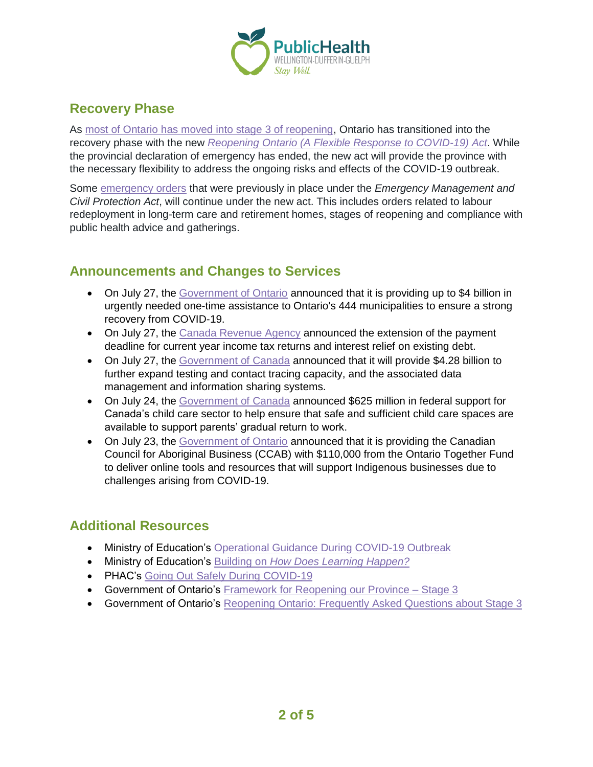

## **Recovery Phase**

As [most of Ontario has moved into stage 3 of reopening,](https://www.ontario.ca/page/reopening-ontario-stages#regions) Ontario has transitioned into the recovery phase with the new *[Reopening Ontario \(A Flexible Response to COVID-19\) Act](https://www.ontario.ca/laws/statute/20r17)*. While the provincial declaration of emergency has ended, the new act will provide the province with the necessary flexibility to address the ongoing risks and effects of the COVID-19 outbreak.

Some [emergency orders](https://www.ontario.ca/page/emergency-information#emergencyorders) that were previously in place under the *Emergency Management and Civil Protection Act*, will continue under the new act. This includes orders related to labour redeployment in long-term care and retirement homes, stages of reopening and compliance with public health advice and gatherings.

## **Announcements and Changes to Services**

- On July 27, the [Government of Ontario](https://news.ontario.ca/opo/en/2020/07/historic-agreement-delivers-up-to-4-billion-to-support-municipalities-and-transit.html) announced that it is providing up to \$4 billion in urgently needed one-time assistance to Ontario's 444 municipalities to ensure a strong recovery from COVID-19.
- On July 27, the [Canada Revenue Agency](https://www.canada.ca/en/revenue-agency/news/2020/07/the-canada-revenue-agency-announces-an-extension-to-the-payment-deadline-and-offers-interest-relief-on-outstanding-tax-debts-during-the-covid-19-pa.html) announced the extension of the payment deadline for current year income tax returns and interest relief on existing debt.
- On July 27, the [Government of Canada](https://www.canada.ca/en/health-canada/news/2020/07/the-government-of-canada-is-investing-to-safely-restart-the-economy-while-protecting-the-health-of-canadians.html) announced that it will provide \$4.28 billion to further expand testing and contact tracing capacity, and the associated data management and information sharing systems.
- On July 24, the [Government of Canada](https://www.canada.ca/en/employment-social-development/news/2020/07/the-government-of-canada-is-providing-funding-to-supportchild-care-for-returning-workers0.html) announced \$625 million in federal support for Canada's child care sector to help ensure that safe and sufficient child care spaces are available to support parents' gradual return to work.
- On July 23, the [Government of Ontario](https://news.ontario.ca/medg/en/2020/07/ontario-supports-indigenous-businesses-during-covid-19.html) announced that it is providing the Canadian Council for Aboriginal Business (CCAB) with \$110,000 from the Ontario Together Fund to deliver online tools and resources that will support Indigenous businesses due to challenges arising from COVID-19.

## **Additional Resources**

- Ministry of Education's [Operational Guidance During COVID-19 Outbreak](http://www.edu.gov.on.ca/childcare/child-care-re-opening-operational-guidance.pdf)
- Ministry of Education's Building on *[How Does Learning Happen?](http://www.edu.gov.on.ca/childcare/building-on-how-does-learning-happen-child-care.pdf)*
- PHAC's [Going Out Safely During COVID-19](https://www.canada.ca/en/public-health/services/publications/diseases-conditions/covid-19-going-out-safely.html)
- Government of Ontario's Framework for Reopening our Province Stage 3
- Government of Ontario's [Reopening Ontario: Frequently Asked Questions about Stage](https://www.ontario.ca/page/reopening-ontario-frequently-asked-questions-about-stage-3) 3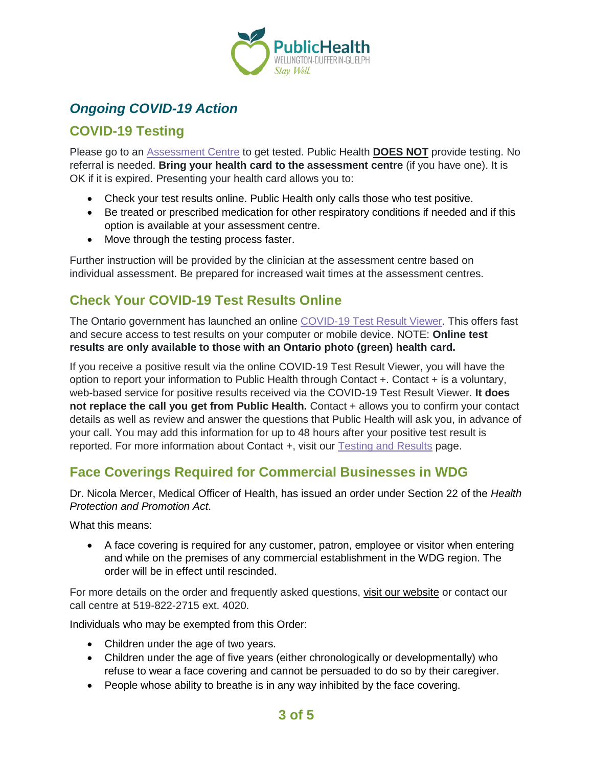

# *Ongoing COVID-19 Action*

## **COVID-19 Testing**

Please go to an [Assessment Centre](https://wdgpublichealth.ca/your-health/covid-19-information-public/assessment-centres-wdg) to get tested. Public Health **DOES NOT** provide testing. No referral is needed. **Bring your health card to the assessment centre** (if you have one). It is OK if it is expired. Presenting your health card allows you to:

- Check your test results online. Public Health only calls those who test positive.
- Be treated or prescribed medication for other respiratory conditions if needed and if this option is available at your assessment centre.
- Move through the testing process faster.

Further instruction will be provided by the clinician at the assessment centre based on individual assessment. Be prepared for increased wait times at the assessment centres.

# **Check Your COVID-19 Test Results Online**

The Ontario government has launched an online [COVID-19 Test Result Viewer.](https://covid19results.ehealthontario.ca:4443/agree) This offers fast and secure access to test results on your computer or mobile device. NOTE: **Online test results are only available to those with an Ontario photo (green) health card.**

If you receive a positive result via the online COVID-19 Test Result Viewer, you will have the option to report your information to Public Health through Contact +. Contact + is a voluntary, web-based service for positive results received via the COVID-19 Test Result Viewer. **It does not replace the call you get from Public Health.** Contact + allows you to confirm your contact details as well as review and answer the questions that Public Health will ask you, in advance of your call. You may add this information for up to 48 hours after your positive test result is reported. For more information about Contact +, visit our [Testing and Results](https://www.wdgpublichealth.ca/your-health/covid-19-information-public/testing-and-results) page.

## **Face Coverings Required for Commercial Businesses in WDG**

Dr. Nicola Mercer, Medical Officer of Health, has issued an order under Section 22 of the *Health Protection and Promotion Act*.

What this means:

• A face covering is required for any customer, patron, employee or visitor when entering and while on the premises of any commercial establishment in the WDG region. The order will be in effect until rescinded.

For more details on the order and frequently asked questions, [visit our website](https://www.wdgpublichealth.ca/your-health/covid-19-information-public/face-coverings-class-order-and-faqs) or contact our call centre at 519-822-2715 ext. 4020.

Individuals who may be exempted from this Order:

- Children under the age of two years.
- Children under the age of five years (either chronologically or developmentally) who refuse to wear a face covering and cannot be persuaded to do so by their caregiver.
- People whose ability to breathe is in any way inhibited by the face covering.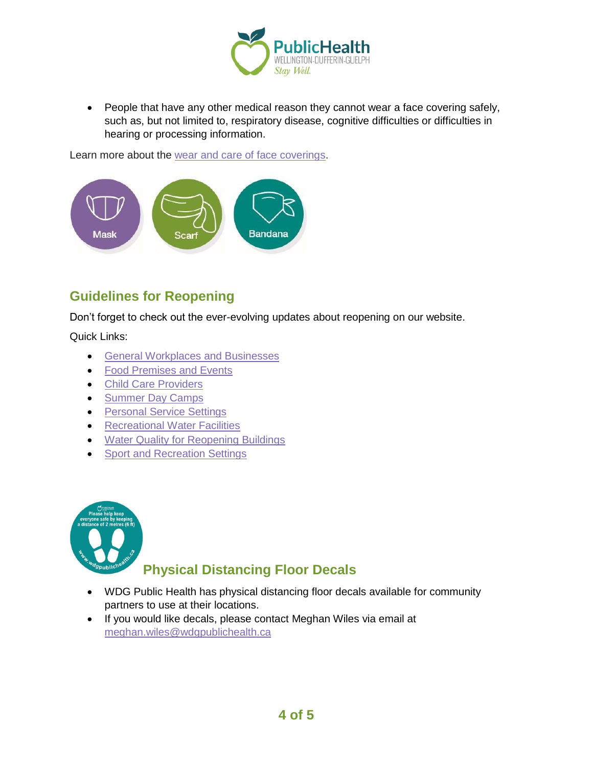

• People that have any other medical reason they cannot wear a face covering safely, such as, but not limited to, respiratory disease, cognitive difficulties or difficulties in hearing or processing information.

Learn more about the [wear and care of face coverings.](https://www.wdgpublichealth.ca/your-health/covid-19-information-public/face-coverings-class-order-and-faqs/wear-and-care-face)



## **Guidelines for Reopening**

Don't forget to check out the ever-evolving updates about reopening on our website.

Quick Links:

- [General Workplaces and Businesses](https://www.wdgpublichealth.ca/your-health/covid-19-information-workplaces-and-living-spaces/workplaces-and-businesses)
- [Food Premises and Events](https://wdgpublichealth.ca/your-health/covid-19-information-workplaces-and-living-spaces/food-premises-and-events)
- [Child Care Providers](https://www.wdgpublichealth.ca/your-health/covid-19-information-workplaces-and-living-spaces/child-care-providers)
- [Summer Day Camps](https://www.wdgpublichealth.ca/your-health/covid-19-information-workplaces-and-living-spaces/summer-day-camp-providers)
- [Personal Service Settings](https://www.wdgpublichealth.ca/your-health/covid-19-information-workplaces-and-living-spaces/personal-service-settings)
- Recreational [Water Facilities](https://www.wdgpublichealth.ca/your-health/covid-19-information-workplaces-and-living-spaces/recreational-water-facilities)
- [Water Quality for Reopening Buildings](https://wdgpublichealth.ca/your-health/covid-19-information-workplaces-and-living-spaces/water-quality-reopening-buildings)
- [Sport and Recreation Settings](https://wdgpublichealth.ca/your-health/covid-19-information-workplaces-and-living-spaces/sport-and-recreation-settings)



## **Physical Distancing Floor Decals**

- WDG Public Health has physical distancing floor decals available for community partners to use at their locations.
- If you would like decals, please contact Meghan Wiles via email at [meghan.wiles@wdgpublichealth.ca](https://wdgpublichealth.sharepoint.com/sites/IMS-NovelCoronavirus/Shared%20Documents/General/Communications/COVID-19/Stakeholders/COVID-19%20Information%20Bulletin/Bulletin%2018/meghan.wiles@wdgpublichealth.ca)